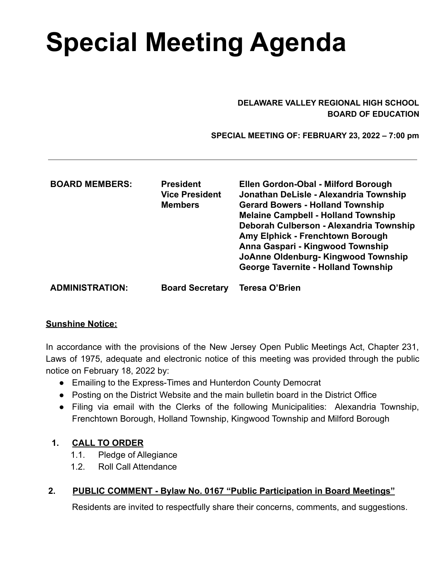# **Special Meeting Agenda**

#### **DELAWARE VALLEY REGIONAL HIGH SCHOOL BOARD OF EDUCATION**

 **SPECIAL MEETING OF: FEBRUARY 23, 2022 – 7:00 pm**

| <b>BOARD MEMBERS:</b>  | <b>President</b><br><b>Vice President</b><br><b>Members</b> | Ellen Gordon-Obal - Milford Borough<br>Jonathan DeLisle - Alexandria Township<br><b>Gerard Bowers - Holland Township</b><br><b>Melaine Campbell - Holland Township</b><br>Deborah Culberson - Alexandria Township<br>Amy Elphick - Frenchtown Borough<br>Anna Gaspari - Kingwood Township<br>JoAnne Oldenburg-Kingwood Township<br><b>George Tavernite - Holland Township</b> |
|------------------------|-------------------------------------------------------------|-------------------------------------------------------------------------------------------------------------------------------------------------------------------------------------------------------------------------------------------------------------------------------------------------------------------------------------------------------------------------------|
| <b>ADMINISTRATION:</b> | <b>Board Secretary</b>                                      | Teresa O'Brien                                                                                                                                                                                                                                                                                                                                                                |

#### **Sunshine Notice:**

In accordance with the provisions of the New Jersey Open Public Meetings Act, Chapter 231, Laws of 1975, adequate and electronic notice of this meeting was provided through the public notice on February 18, 2022 by:

- Emailing to the Express-Times and Hunterdon County Democrat
- Posting on the District Website and the main bulletin board in the District Office
- Filing via email with the Clerks of the following Municipalities: Alexandria Township, Frenchtown Borough, Holland Township, Kingwood Township and Milford Borough

#### **1. CALL TO ORDER**

- 1.1. Pledge of Allegiance
- 1.2. Roll Call Attendance

### **2. PUBLIC COMMENT - Bylaw No. 0167 "Public Participation in Board Meetings"**

Residents are invited to respectfully share their concerns, comments, and suggestions.